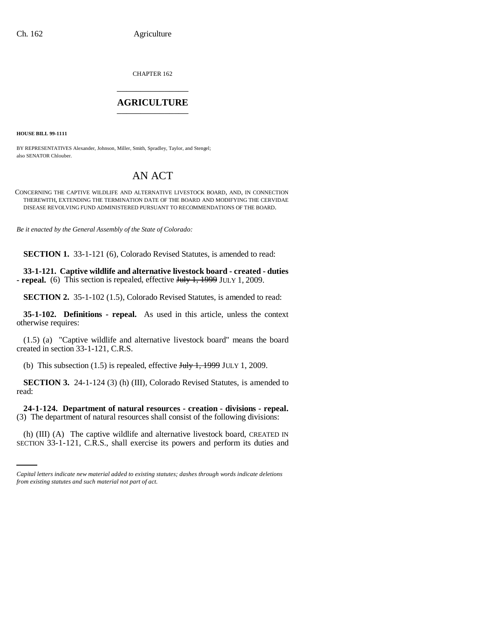CHAPTER 162 \_\_\_\_\_\_\_\_\_\_\_\_\_\_\_

## **AGRICULTURE** \_\_\_\_\_\_\_\_\_\_\_\_\_\_\_

**HOUSE BILL 99-1111** 

BY REPRESENTATIVES Alexander, Johnson, Miller, Smith, Spradley, Taylor, and Stengel; also SENATOR Chlouber.

## AN ACT

CONCERNING THE CAPTIVE WILDLIFE AND ALTERNATIVE LIVESTOCK BOARD, AND, IN CONNECTION THEREWITH, EXTENDING THE TERMINATION DATE OF THE BOARD AND MODIFYING THE CERVIDAE DISEASE REVOLVING FUND ADMINISTERED PURSUANT TO RECOMMENDATIONS OF THE BOARD.

*Be it enacted by the General Assembly of the State of Colorado:*

**SECTION 1.** 33-1-121 (6), Colorado Revised Statutes, is amended to read:

**33-1-121. Captive wildlife and alternative livestock board - created - duties - repeal.** (6) This section is repealed, effective July 1, 1999 JULY 1, 2009.

**SECTION 2.** 35-1-102 (1.5), Colorado Revised Statutes, is amended to read:

**35-1-102. Definitions - repeal.** As used in this article, unless the context otherwise requires:

(1.5) (a) "Captive wildlife and alternative livestock board" means the board created in section 33-1-121, C.R.S.

(b) This subsection  $(1.5)$  is repealed, effective  $J_{\text{t}}/J_{\text{t}}$ , 1999 JULY 1, 2009.

**SECTION 3.** 24-1-124 (3) (h) (III), Colorado Revised Statutes, is amended to read:

(3) The department of natural resources shall consist of the following divisions: **24-1-124. Department of natural resources - creation - divisions - repeal.**

(h) (III) (A) The captive wildlife and alternative livestock board, CREATED IN SECTION 33-1-121, C.R.S., shall exercise its powers and perform its duties and

*Capital letters indicate new material added to existing statutes; dashes through words indicate deletions from existing statutes and such material not part of act.*